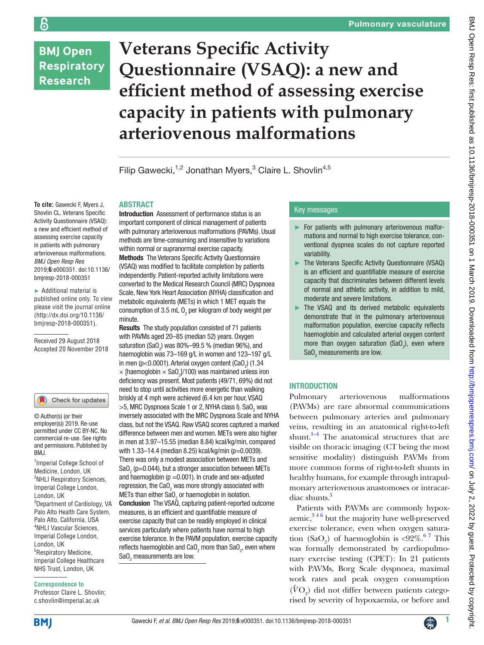# **BMJ Open Respiratory Research**

န

# **Veterans Specific Activity Questionnaire (VSAQ): a new and efficient method of assessing exercise capacity in patients with pulmonary arteriovenous malformations**

Filip Gawecki,<sup>1,2</sup> Jonathan Myers,<sup>3</sup> Claire L. Shovlin<sup>4,5</sup>

## **ABSTRACT**

**To cite:** Gawecki F, Myers J, Shovlin CL. Veterans Specific Activity Questionnaire (VSAQ): a new and efficient method of assessing exercise capacity in patients with pulmonary arteriovenous malformations. *BMJ Open Resp Res* 2019;**6**:e000351. doi:10.1136/ bmjresp-2018-000351

► Additional material is published online only. To view please visit the journal online (http://dx.doi.org/10.1136/ bmjresp-2018-000351).

Received 29 August 2018 Accepted 20 November 2018

#### Check for updates

© Author(s) (or their employer(s)) 2019. Re-use permitted under CC BY-NC. No commercial re-use. See rights and permissions. Published by BMJ.

<sup>1</sup> Imperial College School of Medicine, London, UK <sup>2</sup>NHLI Respiratory Sciences, Imperial College London, London, UK 3 Department of Cardiology, VA Palo Alto Health Care System, Palo Alto, California, USA 4 NHLI Vascular Sciences, Imperial College London, London, UK 5 Respiratory Medicine, Imperial College Healthcare NHS Trust, London, UK

#### **Correspondence to**

Professor Claire L. Shovlin; c.shovlin@imperial.ac.uk

Introduction Assessment of performance status is an important component of clinical management of patients with pulmonary arteriovenous malformations (PAVMs). Usual methods are time-consuming and insensitive to variations within normal or supranormal exercise capacity. Methods The Veterans Specific Activity Questionnaire (VSAQ) was modified to facilitate completion by patients independently. Patient-reported activity limitations were converted to the Medical Research Council (MRC) Dyspnoea Scale, New York Heart Association (NYHA) classification and metabolic equivalents (METs) in which 1 MET equals the consumption of 3.5 mL  $0<sub>2</sub>$  per kilogram of body weight per minute.

Results The study population consisted of 71 patients with PAVMs aged 20–85 (median 52) years. Oxygen saturation (SaO<sub>2</sub>) was 80%–99.5 % (median 96%), and haemoglobin was 73–169 g/L in women and 123–197 g/L in men (p<0.0001). Arterial oxygen content (CaO<sub>2</sub>) (1.34  $\times$  [haemoglobin  $\times$  SaO<sub>2</sub>]/100) was maintained unless iron deficiency was present. Most patients (49/71, 69%) did not need to stop until activities more energetic than walking briskly at 4 mph were achieved (6.4 km per hour, VSAQ  $>$ 5, MRC Dyspnoea Scale 1 or 2, NYHA class I). Sa $0\rm _{2}$  was inversely associated with the MRC Dyspnoea Scale and NYHA class, but not the VSAQ. Raw VSAQ scores captured a marked difference between men and women. METs were also higher in men at 3.97–15.55 (median 8.84) kcal/kg/min, compared with 1.33–14.4 (median 8.25) kcal/kg/min (p=0.0039). There was only a modest association between METs and SaO<sub>2</sub> (p=0.044), but a stronger association between METs and haemoglobin ( $p = 0.001$ ). In crude and sex-adjusted regression, the CaO<sub>2</sub> was more strongly associated with METs than either SaO<sub>2</sub> or haemoglobin in isolation. Conclusion The VSAQ, capturing patient-reported outcome measures, is an efficient and quantifiable measure of exercise capacity that can be readily employed in clinical services particularly where patients have normal to high exercise tolerance. In the PAVM population, exercise capacity reflects haemoglobin and CaO<sub>2</sub> more than SaO<sub>2</sub>, even where  $\text{SaO}_2$  measurements are low.

# Key messages

- ► For patients with pulmonary arteriovenous malformations and normal to high exercise tolerance, conventional dyspnea scales do not capture reported variability.
- ► The Veterans Specific Activity Questionnaire (VSAQ) is an efficient and quantifiable measure of exercise capacity that discriminates between different levels of normal and athletic activity, in addition to mild, moderate and severe limitations.
- ► The VSAQ and its derived metabolic equivalents demonstrate that in the pulmonary arteriovenous malformation population, exercise capacity reflects haemoglobin and calculated arterial oxygen content more than oxygen saturation (SaO<sub>2</sub>), even where  $\text{SaO}_2$  measurements are low.

# **INTRODUCTION**

Pulmonary arteriovenous malformations (PAVMs) are rare abnormal communications between pulmonary arteries and pulmonary veins, resulting in an anatomical right-to-left shunt.<sup>[1–4](#page-6-0)</sup> The anatomical structures that are visible on thoracic imaging (CT being the most sensitive modality) distinguish PAVMs from more common forms of right-to-left shunts in healthy humans, for example through intrapulmonary arteriovenous anastomoses or intracar-diac shunts.<sup>[5](#page-6-1)</sup>

Patients with PAVMs are commonly hypoxaemic,  $346$  but the majority have well-preserved exercise tolerance, even when oxygen saturation  $(SaO<sub>2</sub>)$  of haemoglobin is <92%.<sup>67</sup> This was formally demonstrated by cardiopulmonary exercise testing (CPET): In 21 patients with PAVMs, Borg Scale dyspnoea, maximal work rates and peak oxygen consumption  $(\acute{V}{\rm O}_2)$  did not differ between patients categorised by severity of hypoxaemia, or before and

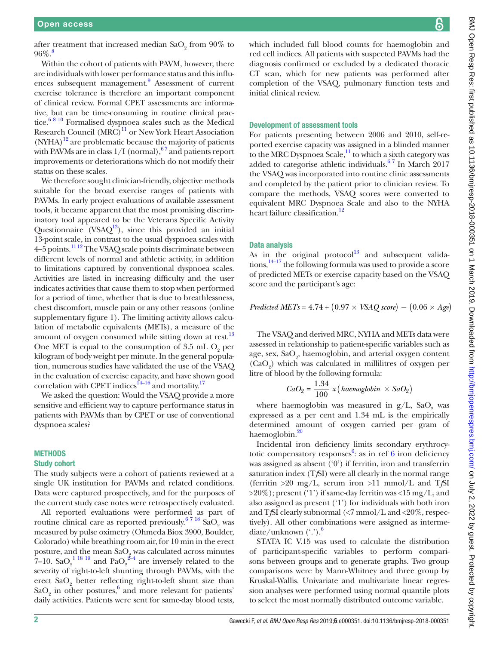after treatment that increased median  $SaO_2$  from  $90\%$  to 96%[.8](#page-6-4)

Within the cohort of patients with PAVM, however, there are individuals with lower performance status and this influ-ences subsequent management.<sup>[9](#page-6-5)</sup> Assessment of current exercise tolerance is therefore an important component of clinical review. Formal CPET assessments are informative, but can be time-consuming in routine clinical practice.<sup>6 8 10</sup> Formalised dyspnoea scales such as the Medical Research Council  $(MRC)^{11}$  or New York Heart Association  $(NYHA)^{12}$  are problematic because the majority of patients with PAVMs are in class  $1/I$  (normal),  $67$  and patients report improvements or deteriorations which do not modify their status on these scales.

We therefore sought clinician-friendly, objective methods suitable for the broad exercise ranges of patients with PAVMs. In early project evaluations of available assessment tools, it became apparent that the most promising discriminatory tool appeared to be the Veterans Specific Activity Questionnaire (VSAQ $^{13}$ ), since this provided an initial 13-point scale, in contrast to the usual dyspnoea scales with 4–5 points[.11 12](#page-6-6) The VSAQ scale points discriminate between different levels of normal and athletic activity, in addition to limitations captured by conventional dyspnoea scales. Activities are listed in increasing difficulty and the user indicates activities that cause them to stop when performed for a period of time, whether that is due to breathlessness, chest discomfort, muscle pain or any other reasons [\(online](https://dx.doi.org/10.1136/bmjresp-2018-000351) [supplementary figure 1](https://dx.doi.org/10.1136/bmjresp-2018-000351)). The limiting activity allows calculation of metabolic equivalents (METs), a measure of the amount of oxygen consumed while sitting down at rest.<sup>[13](#page-6-8)</sup> One MET is equal to the consumption of 3.5 mL  $O_2$  per kilogram of body weight per minute. In the general population, numerous studies have validated the use of the VSAQ in the evaluation of exercise capacity, and have shown good correlation with CPET indices<sup>14–16</sup> and mortality.<sup>[17](#page-6-10)</sup>

We asked the question: Would the VSAQ provide a more sensitive and efficient way to capture performance status in patients with PAVMs than by CPET or use of conventional dyspnoea scales?

## **METHODS**

#### Study cohort

The study subjects were a cohort of patients reviewed at a single UK institution for PAVMs and related conditions. Data were captured prospectively, and for the purposes of the current study case notes were retrospectively evaluated.

All reported evaluations were performed as part of routine clinical care as reported previously.<sup>67 18</sup> SaO<sub>2</sub> was measured by pulse oximetry (Ohmeda Biox 3900, Boulder, Colorado) while breathing room air, for 10 min in the erect posture, and the mean  $\text{SaO}_2$  was calculated across minutes  $7-10.$  SaO<sub>2</sub><sup>[1 18 19](#page-6-0)</sup> and PaO<sub>2</sub><sup>2-4</sup> are inversely related to the severity of right-to-left shunting through PAVMs, with the erect  $SaO<sub>2</sub>$  better reflecting right-to-left shunt size than  $\text{SaO}_2$  in other postures,  $\text{6}$  and more relevant for patients' daily activities. Patients were sent for same-day blood tests,

which included full blood counts for haemoglobin and red cell indices. All patients with suspected PAVMs had the diagnosis confirmed or excluded by a dedicated thoracic CT scan, which for new patients was performed after completion of the VSAQ, pulmonary function tests and initial clinical review.

#### Development of assessment tools

For patients presenting between 2006 and 2010, self-reported exercise capacity was assigned in a blinded manner to the MRC Dyspnoea Scale, $\frac{11}{1}$  to which a sixth category was added to categorise athletic individuals. $67$  In March 2017 the VSAQ was incorporated into routine clinic assessments and completed by the patient prior to clinician review. To compare the methods, VSAQ scores were converted to equivalent MRC Dyspnoea Scale and also to the NYHA heart failure classification.<sup>12</sup>

# Data analysis

As in the original protocol<sup>13</sup> and subsequent valida $tions$ ,  $14-17$  the following formula was used to provide a score of predicted METs or exercise capacity based on the VSAQ score and the participant's age:

*Predicted METs* = 4.74 + ( 0.97 *<sup>×</sup> VSAQ score*) *−* ( 0.06 *<sup>×</sup> Age*)

The VSAQ and derived MRC, NYHA and METs data were assessed in relationship to patient-specific variables such as age, sex, SaO<sub>2</sub>, haemoglobin, and arterial oxygen content  $(CaO<sub>2</sub>)$  which was calculated in millilitres of oxygen per litre of blood by the following formula:

$$
CaO2 = \frac{1.34}{100} x (haemoglobin \times SaO2)
$$

where haemoglobin was measured in  $g/L$ ,  $SaO<sub>2</sub>$  was expressed as a per cent and 1.34 mL is the empirically determined amount of oxygen carried per gram of haemoglobin. $20$ 

Incidental iron deficiency limits secondary erythrocy-totic compensatory responses<sup>[6](#page-6-3)</sup>: as in ref  $6$  iron deficiency was assigned as absent ('0') if ferritin, iron and transferrin saturation index (T*f*SI) were all clearly in the normal range (ferritin >20 mg/L, serum iron >11 mmol/L and T*f*SI >20%); present ('1') if same-day ferritin was <15 mg/L, and also assigned as present ('1') for individuals with both iron and T*f*SI clearly subnormal (<7 mmol/L and <20%, respectively). All other combinations were assigned as intermediate/unknown  $(\cdot)$ .

STATA IC V.15 was used to calculate the distribution of participant-specific variables to perform comparisons between groups and to generate graphs. Two group comparisons were by Mann-Whitney and three group by Kruskal-Wallis. Univariate and multivariate linear regression analyses were performed using normal quantile plots to select the most normally distributed outcome variable.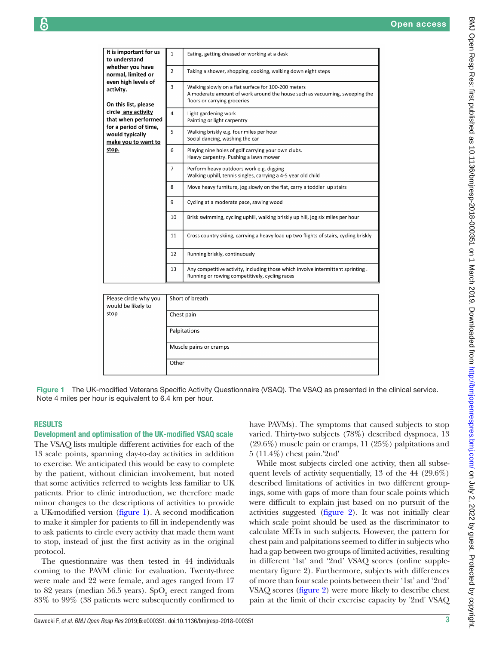| e e<br>I |
|----------|
|          |

| It is important for us<br>to understand                                                                       | $\mathbf{1}$    | Eating, getting dressed or working at a desk                                                                                                                      |  |  |
|---------------------------------------------------------------------------------------------------------------|-----------------|-------------------------------------------------------------------------------------------------------------------------------------------------------------------|--|--|
| whether you have<br>normal, limited or<br>even high levels of<br>activity.                                    | $\overline{2}$  | Taking a shower, shopping, cooking, walking down eight steps                                                                                                      |  |  |
|                                                                                                               | 3               | Walking slowly on a flat surface for 100-200 meters<br>A moderate amount of work around the house such as vacuuming, sweeping the<br>floors or carrying groceries |  |  |
| On this list, please                                                                                          |                 |                                                                                                                                                                   |  |  |
| circle any activity<br>that when performed<br>for a period of time,<br>would typically<br>make you to want to | $\overline{4}$  | Light gardening work<br>Painting or light carpentry                                                                                                               |  |  |
|                                                                                                               | 5               | Walking briskly e.g. four miles per hour<br>Social dancing, washing the car                                                                                       |  |  |
| stop.                                                                                                         | 6               | Playing nine holes of golf carrying your own clubs.<br>Heavy carpentry. Pushing a lawn mower                                                                      |  |  |
|                                                                                                               | $\overline{7}$  | Perform heavy outdoors work e.g. digging<br>Walking uphill, tennis singles, carrying a 4-5 year old child                                                         |  |  |
|                                                                                                               | 8               | Move heavy furniture, jog slowly on the flat, carry a toddler up stairs                                                                                           |  |  |
|                                                                                                               | 9               | Cycling at a moderate pace, sawing wood                                                                                                                           |  |  |
|                                                                                                               | 10              | Brisk swimming, cycling uphill, walking briskly up hill, jog six miles per hour                                                                                   |  |  |
|                                                                                                               | 11              | Cross country skiing, carrying a heavy load up two flights of stairs, cycling briskly                                                                             |  |  |
|                                                                                                               | 12              | Running briskly, continuously                                                                                                                                     |  |  |
|                                                                                                               | 13              | Any competitive activity, including those which involve intermittent sprinting.<br>Running or rowing competitively, cycling races                                 |  |  |
|                                                                                                               |                 |                                                                                                                                                                   |  |  |
| Please circle why you<br>would be likely to<br>stop                                                           | Short of breath |                                                                                                                                                                   |  |  |
|                                                                                                               | Chest pain      |                                                                                                                                                                   |  |  |
|                                                                                                               | Palpitations    |                                                                                                                                                                   |  |  |
|                                                                                                               |                 | Muscle pains or cramps                                                                                                                                            |  |  |

Figure 1 The UK-modified Veterans Specific Activity Questionnaire (VSAQ). The VSAQ as presented in the clinical service. Note 4 miles per hour is equivalent to 6.4 km per hour.

<span id="page-2-0"></span>Other

# **RESULTS**

Development and optimisation of the UK-modified VSAQ scale The VSAQ lists multiple different activities for each of the 13 scale points, spanning day-to-day activities in addition to exercise. We anticipated this would be easy to complete by the patient, without clinician involvement, but noted that some activities referred to weights less familiar to UK patients. Prior to clinic introduction, we therefore made minor changes to the descriptions of activities to provide a UK-modified version ([figure](#page-2-0) 1). A second modification to make it simpler for patients to fill in independently was to ask patients to circle every activity that made them want to stop, instead of just the first activity as in the original protocol.

The questionnaire was then tested in 44 individuals coming to the PAVM clinic for evaluation. Twenty-three were male and 22 were female, and ages ranged from 17 to 82 years (median 56.5 years).  $SpO<sub>2</sub>$  erect ranged from 83% to 99% (38 patients were subsequently confirmed to

have PAVMs). The symptoms that caused subjects to stop varied. Thirty-two subjects (78%) described dyspnoea, 13 (29.6%) muscle pain or cramps, 11 (25%) palpitations and 5 (11.4%) chest pain.'2nd'

While most subjects circled one activity, then all subsequent levels of activity sequentially, 13 of the 44 (29.6%) described limitations of activities in two different groupings, some with gaps of more than four scale points which were difficult to explain just based on no pursuit of the activities suggested [\(figure](#page-3-0) 2). It was not initially clear which scale point should be used as the discriminator to calculate METs in such subjects. However, the pattern for chest pain and palpitations seemed to differ in subjects who had a gap between two groups of limited activities, resulting in different '1st' and '2nd' VSAQ scores ([online supple](https://dx.doi.org/10.1136/bmjresp-2018-000351)[mentary figure 2\)](https://dx.doi.org/10.1136/bmjresp-2018-000351). Furthermore, subjects with differences of more than four scale points between their '1st' and '2nd' VSAQ scores [\(figure](#page-3-0) 2) were more likely to describe chest pain at the limit of their exercise capacity by '2nd' VSAQ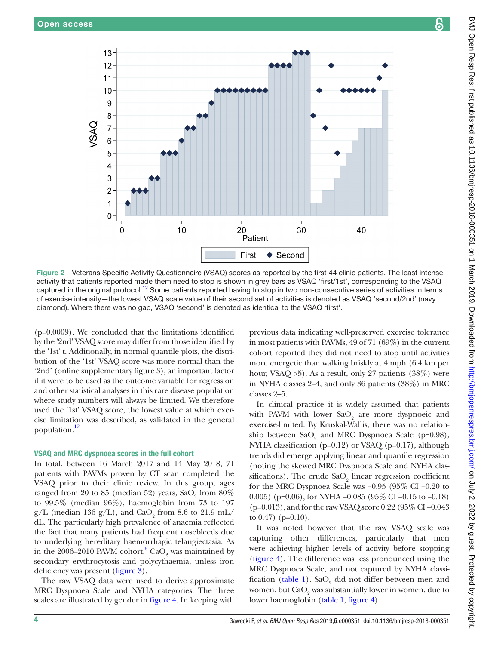

<span id="page-3-0"></span>Figure 2 Veterans Specific Activity Questionnaire (VSAQ) scores as reported by the first 44 clinic patients. The least intense activity that patients reported made them need to stop is shown in grey bars as VSAQ 'first/1st', corresponding to the VSAQ captured in the original protocol.<sup>[12](#page-6-7)</sup> Some patients reported having to stop in two non-consecutive series of activities in terms of exercise intensity—the lowest VSAQ scale value of their second set of activities is denoted as VSAQ 'second/2nd' (navy diamond). Where there was no gap, VSAQ 'second' is denoted as identical to the VSAQ 'first'.

(p=0.0009). We concluded that the limitations identified by the '2nd' VSAQ score may differ from those identified by the '1st' t. Additionally, in normal quantile plots, the distribution of the '1st' VSAQ score was more normal than the '2nd' ([online supplementary figure 3](https://dx.doi.org/10.1136/bmjresp-2018-000351)), an important factor if it were to be used as the outcome variable for regression and other statistical analyses in this rare disease population where study numbers will always be limited. We therefore used the '1st' VSAQ score, the lowest value at which exercise limitation was described, as validated in the general population[.12](#page-6-7)

#### VSAQ and MRC dyspnoea scores in the full cohort

In total, between 16 March 2017 and 14 May 2018, 71 patients with PAVMs proven by CT scan completed the VSAQ prior to their clinic review. In this group, ages ranged from 20 to 85 (median 52) years,  $\text{SaO}_2$  from  $80\%$ to 99.5% (median 96%), haemoglobin from 73 to 197  $g/L$  (median 136  $g/L$ ), and CaO<sub>2</sub> from 8.6 to 21.9 mL/ dL. The particularly high prevalence of anaemia reflected the fact that many patients had frequent nosebleeds due to underlying hereditary haemorrhagic telangiectasia. As in the 2006–2010 PAVM cohort,  $^{6}$  Ca $\overline{O}_2$  was maintained by secondary erythrocytosis and polycythaemia, unless iron deficiency was present [\(figure](#page-4-0) 3).

The raw VSAQ data were used to derive approximate MRC Dyspnoea Scale and NYHA categories. The three scales are illustrated by gender in [figure](#page-5-0) 4. In keeping with

previous data indicating well-preserved exercise tolerance in most patients with PAVMs, 49 of 71 (69%) in the current cohort reported they did not need to stop until activities more energetic than walking briskly at 4 mph (6.4 km per hour, VSAQ >5). As a result, only 27 patients (38%) were in NYHA classes 2–4, and only 36 patients (38%) in MRC classes 2–5.

In clinical practice it is widely assumed that patients with PAVM with lower  $\text{SaO}_2$  are more dyspnoeic and exercise-limited. By Kruskal-Wallis, there was no relationship between  $SaO_2$  and MRC Dyspnoea Scale (p=0.98), NYHA classification (p=0.12) or VSAQ (p=0.17), although trends did emerge applying linear and quantile regression (noting the skewed MRC Dyspnoea Scale and NYHA classifications). The crude  $\text{SaO}_2$  linear regression coefficient for the MRC Dyspnoea Scale was −0.95 (95% CI −0.20 to 0.005) (p=0.06), for NYHA −0.085 (95% CI −0.15 to −0.18) (p=0.013), and for the raw VSAQ score 0.22 (95% CI −0.043 to  $0.47$ ) (p= $0.10$ ).

It was noted however that the raw VSAQ scale was capturing other differences, particularly that men were achieving higher levels of activity before stopping [\(figure](#page-5-0) 4). The difference was less pronounced using the MRC Dyspnoea Scale, and not captured by NYHA classi-fication [\(table](#page-5-1) 1). Sa $O_2$  did not differ between men and women, but  ${\rm CaO}_2$  was substantially lower in women, due to lower haemoglobin [\(table](#page-5-1) 1, [figure](#page-5-0) 4).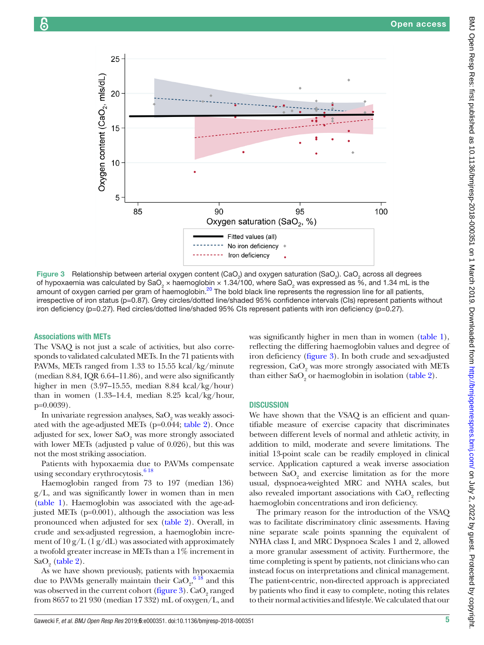



<span id="page-4-0"></span>Figure 3 Relationship between arterial oxygen content (CaO<sub>2</sub>) and oxygen saturation (SaO<sub>2</sub>). CaO<sub>2</sub> across all degrees of hypoxaemia was calculated by SaO<sub>2</sub> × haemoglobin × 1.34/100, where SaO<sub>2</sub> was expressed as %, and 1.34 mL is the amount of oxygen carried per gram of haemoglobin.<sup>20</sup> The bold black line represents the regression line for all patients, irrespective of iron status (p=0.87). Grey circles/dotted line/shaded 95% confidence intervals (CIs) represent patients without iron deficiency (p=0.27). Red circles/dotted line/shaded 95% CIs represent patients with iron deficiency (p=0.27).

#### Associations with METs

The VSAQ is not just a scale of activities, but also corresponds to validated calculated METs. In the 71 patients with PAVMs, METs ranged from 1.33 to 15.55 kcal/kg/minute (median 8.84, IQR 6.64–11.86), and were also significantly higher in men (3.97–15.55, median 8.84 kcal/kg/hour) than in women (1.33–14.4, median 8.25 kcal/kg/hour, p=0.0039).

In univariate regression analyses,  $\mathrm{SaO}_{2}$  was weakly associated with the age-adjusted METs (p=0.044; [table](#page-6-13) 2). Once adjusted for sex, lower  $\text{SaO}_{\text{2}}$  was more strongly associated with lower METs (adjusted p value of 0.026), but this was not the most striking association.

Patients with hypoxaemia due to PAVMs compensate using secondary erythrocytosis. $618$ 

Haemoglobin ranged from 73 to 197 (median 136) g/L, and was significantly lower in women than in men [\(table](#page-5-1) 1). Haemoglobin was associated with the age-adjusted METs (p=0.001), although the association was less pronounced when adjusted for sex [\(table](#page-6-13) 2). Overall, in crude and sex-adjusted regression, a haemoglobin increment of  $10 \text{ g/L}$  (1  $\text{ g/dL}$ ) was associated with approximately a twofold greater increase in METs than a 1% increment in  $\text{SaO}_2$  [\(table](#page-6-13) 2).

As we have shown previously, patients with hypoxaemia due to PAVMs generally maintain their  $CaO<sub>2</sub>$ <sup>6</sup> <sup>18</sup> and this was observed in the current cohort [\(figure](#page-4-0) 3).  $\rm CaO_{2}$  ranged from 8657 to 21 930 (median 17 332) mL of oxygen/L, and

was significantly higher in men than in women [\(table](#page-5-1) 1), reflecting the differing haemoglobin values and degree of iron deficiency [\(figure](#page-4-0) 3). In both crude and sex-adjusted regression,  $\text{CaO}_2$  was more strongly associated with METs than either  $CaO<sub>2</sub>$  or haemoglobin in isolation [\(table](#page-6-13) 2).

# **DISCUSSION**

We have shown that the VSAQ is an efficient and quantifiable measure of exercise capacity that discriminates between different levels of normal and athletic activity, in addition to mild, moderate and severe limitations. The initial 13-point scale can be readily employed in clinical service. Application captured a weak inverse association between  $\text{SaO}_2$  and exercise limitation as for the more usual, dyspnoea-weighted MRC and NYHA scales, but also revealed important associations with  ${\rm CaO_2}$  reflecting haemoglobin concentrations and iron deficiency.

The primary reason for the introduction of the VSAQ was to facilitate discriminatory clinic assessments. Having nine separate scale points spanning the equivalent of NYHA class I, and MRC Dyspnoea Scales 1 and 2, allowed a more granular assessment of activity. Furthermore, the time completing is spent by patients, not clinicians who can instead focus on interpretations and clinical management. The patient-centric, non-directed approach is appreciated by patients who find it easy to complete, noting this relates to their normal activities and lifestyle. We calculated that our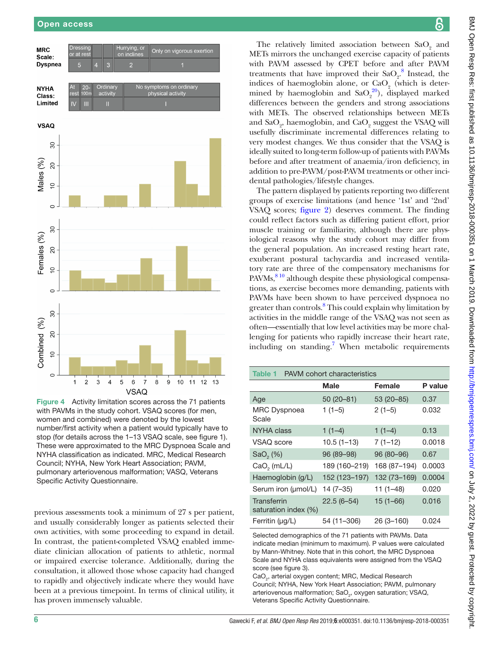

<span id="page-5-0"></span>Figure 4 Activity limitation scores across the 71 patients with PAVMs in the study cohort. VSAQ scores (for men, women and combined) were denoted by the lowest number/first activity when a patient would typically have to stop (for details across the 1–13 VSAQ scale, see [figure 1](#page-2-0)). These were approximated to the MRC Dyspnoea Scale and NYHA classification as indicated. MRC, Medical Research Council; NYHA, New York Heart Association; PAVM, pulmonary arteriovenous malformation; VASQ, Veterans Specific Activity Questionnaire.

previous assessments took a minimum of 27 s per patient, and usually considerably longer as patients selected their own activities, with some proceeding to expand in detail. In contrast, the patient-completed VSAQ enabled immediate clinician allocation of patients to athletic, normal or impaired exercise tolerance. Additionally, during the consultation, it allowed those whose capacity had changed to rapidly and objectively indicate where they would have been at a previous timepoint. In terms of clinical utility, it has proven immensely valuable.

The relatively limited association between  $SaO<sub>2</sub>$  and METs mirrors the unchanged exercise capacity of patients with PAVM assessed by CPET before and after PAVM treatments that have improved their  $\text{SaO}_2^8$  $\text{SaO}_2^8$  Instead, the indices of haemoglobin alone, or  $CaO<sub>2</sub>$  (which is determined by haemoglobin and  $\text{SaO}_2^{20}$  $\text{SaO}_2^{20}$  $\text{SaO}_2^{20}$ , displayed marked differences between the genders and strong associations with METs. The observed relationships between METs and  $\text{SaO}_2$ , haemoglobin, and  $\text{CaO}_2$  suggest the VSAQ will usefully discriminate incremental differences relating to very modest changes. We thus consider that the VSAQ is ideally suited to long-term follow-up of patients with PAVMs before and after treatment of anaemia/iron deficiency, in addition to pre-PAVM/post-PAVM treatments or other incidental pathologies/lifestyle changes.

The pattern displayed by patients reporting two different groups of exercise limitations (and hence '1st' and '2nd' VSAQ scores; [figure](#page-3-0) 2) deserves comment. The finding could reflect factors such as differing patient effort, prior muscle training or familiarity, although there are physiological reasons why the study cohort may differ from the general population. An increased resting heart rate, exuberant postural tachycardia and increased ventilatory rate are three of the compensatory mechanisms for PAVMs, <sup>810</sup> although despite these physiological compensations, as exercise becomes more demanding, patients with PAVMs have been shown to have perceived dyspnoea no greater than controls.<sup>8</sup> This could explain why limitation by activities in the middle range of the VSAQ was not seen as often—essentially that low level activities may be more challenging for patients who rapidly increase their heart rate, including on standing.<sup>[7](#page-6-14)</sup> When metabolic requirements

<span id="page-5-1"></span>

| <b>PAVM</b> cohort characteristics<br>Table 1 |               |               |         |  |  |  |  |
|-----------------------------------------------|---------------|---------------|---------|--|--|--|--|
|                                               | <b>Male</b>   | Female        | P value |  |  |  |  |
| Age                                           | $50(20-81)$   | 53 (20 - 85)  | 0.37    |  |  |  |  |
| <b>MRC Dyspnoea</b><br>Scale                  | $1(1-5)$      | $2(1-5)$      | 0.032   |  |  |  |  |
| NYHA class                                    | $1(1-4)$      | $1(1-4)$      | 0.13    |  |  |  |  |
| VSAQ score                                    | $10.5(1-13)$  | $7(1-12)$     | 0.0018  |  |  |  |  |
| Sao, (%)                                      | 96 (89-98)    | 96 (80-96)    | 0.67    |  |  |  |  |
| $CaO2$ (mL/L)                                 | 189 (160-219) | 168 (87-194)  | 0.0003  |  |  |  |  |
| Haemoglobin (g/L)                             | 152 (123-197) | 132 (73-169)  | 0.0004  |  |  |  |  |
| Serum iron (µmol/L)                           | $14(7-35)$    | $11(1-48)$    | 0.020   |  |  |  |  |
| Transferrin<br>saturation index (%)           | $22.5(6-54)$  | $15(1 - 66)$  | 0.016   |  |  |  |  |
| Ferritin $(\mu g/L)$                          | 54 (11-306)   | $26(3 - 160)$ | 0.024   |  |  |  |  |

Selected demographics of the 71 patients with PAVMs. Data indicate median (minimum to maximum). P values were calculated by Mann-Whitney. Note that in this cohort, the MRC Dyspnoea Scale and NYHA class equivalents were assigned from the VSAQ score (see [figure 3\)](#page-4-0).

CaO<sub>2</sub>, arterial oxygen content; MRC, Medical Research Council; NYHA, New York Heart Association; PAVM, pulmonary arteriovenous malformation; SaO<sub>2</sub>, oxygen saturation; VSAQ, Veterans Specific Activity Questionnaire.